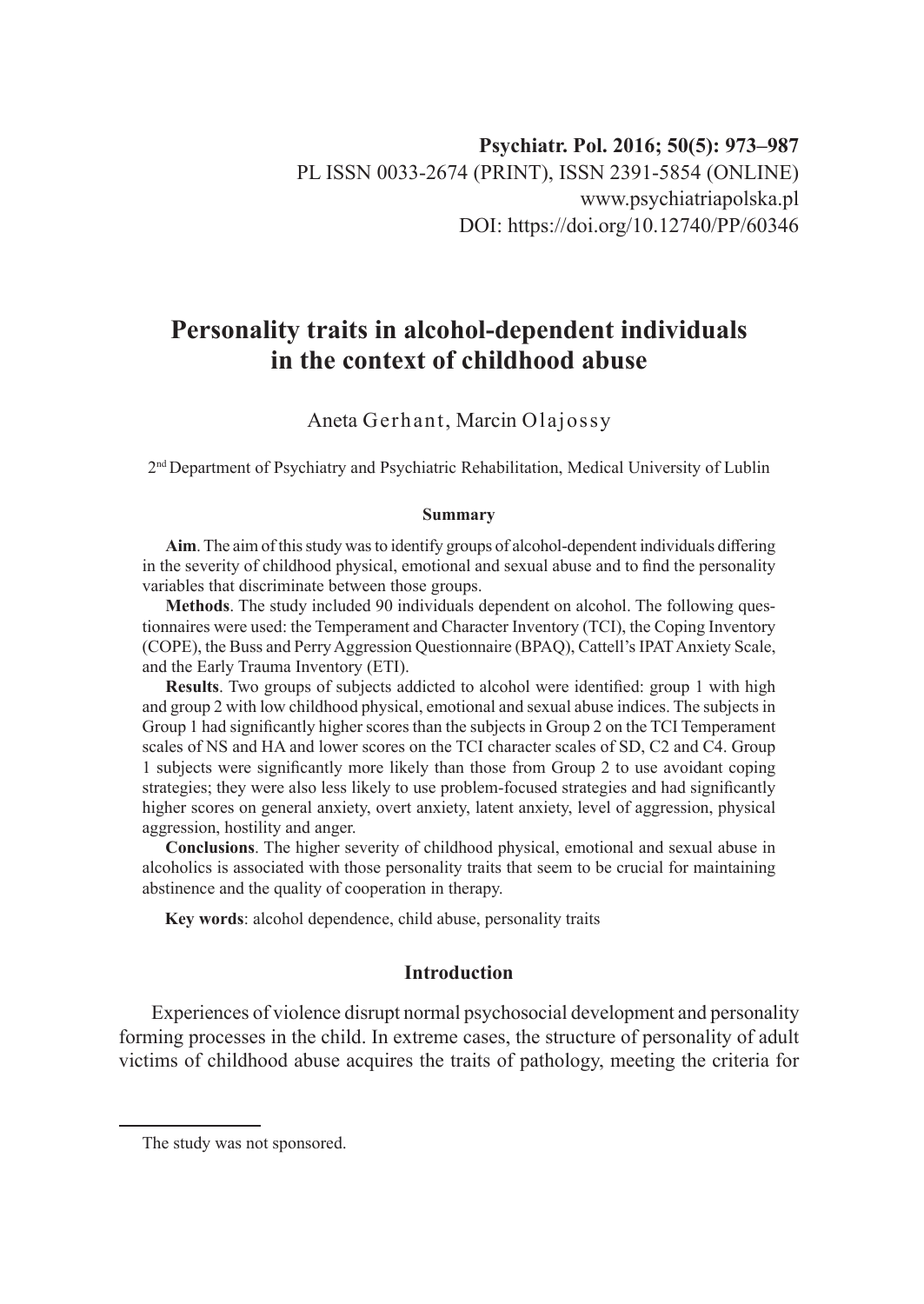# **Personality traits in alcohol-dependent individuals in the context of childhood abuse**

# Aneta Gerhant, Marcin Olajossy

2nd Department of Psychiatry and Psychiatric Rehabilitation, Medical University of Lublin

#### **Summary**

**Aim**. The aim of this study was to identify groups of alcohol-dependent individuals differing in the severity of childhood physical, emotional and sexual abuse and to find the personality variables that discriminate between those groups.

**Methods**. The study included 90 individuals dependent on alcohol. The following questionnaires were used: the Temperament and Character Inventory (TCI), the Coping Inventory (COPE), the Buss and Perry Aggression Questionnaire (BPAQ), Cattell's IPAT Anxiety Scale, and the Early Trauma Inventory (ETI).

**Results**. Two groups of subjects addicted to alcohol were identified: group 1 with high and group 2 with low childhood physical, emotional and sexual abuse indices. The subjects in Group 1 had significantly higher scores than the subjects in Group 2 on the TCI Temperament scales of NS and HA and lower scores on the TCI character scales of SD, C2 and C4. Group 1 subjects were significantly more likely than those from Group 2 to use avoidant coping strategies; they were also less likely to use problem-focused strategies and had significantly higher scores on general anxiety, overt anxiety, latent anxiety, level of aggression, physical aggression, hostility and anger.

**Conclusions**. The higher severity of childhood physical, emotional and sexual abuse in alcoholics is associated with those personality traits that seem to be crucial for maintaining abstinence and the quality of cooperation in therapy.

**Key words**: alcohol dependence, child abuse, personality traits

# **Introduction**

Experiences of violence disrupt normal psychosocial development and personality forming processes in the child. In extreme cases, the structure of personality of adult victims of childhood abuse acquires the traits of pathology, meeting the criteria for

The study was not sponsored.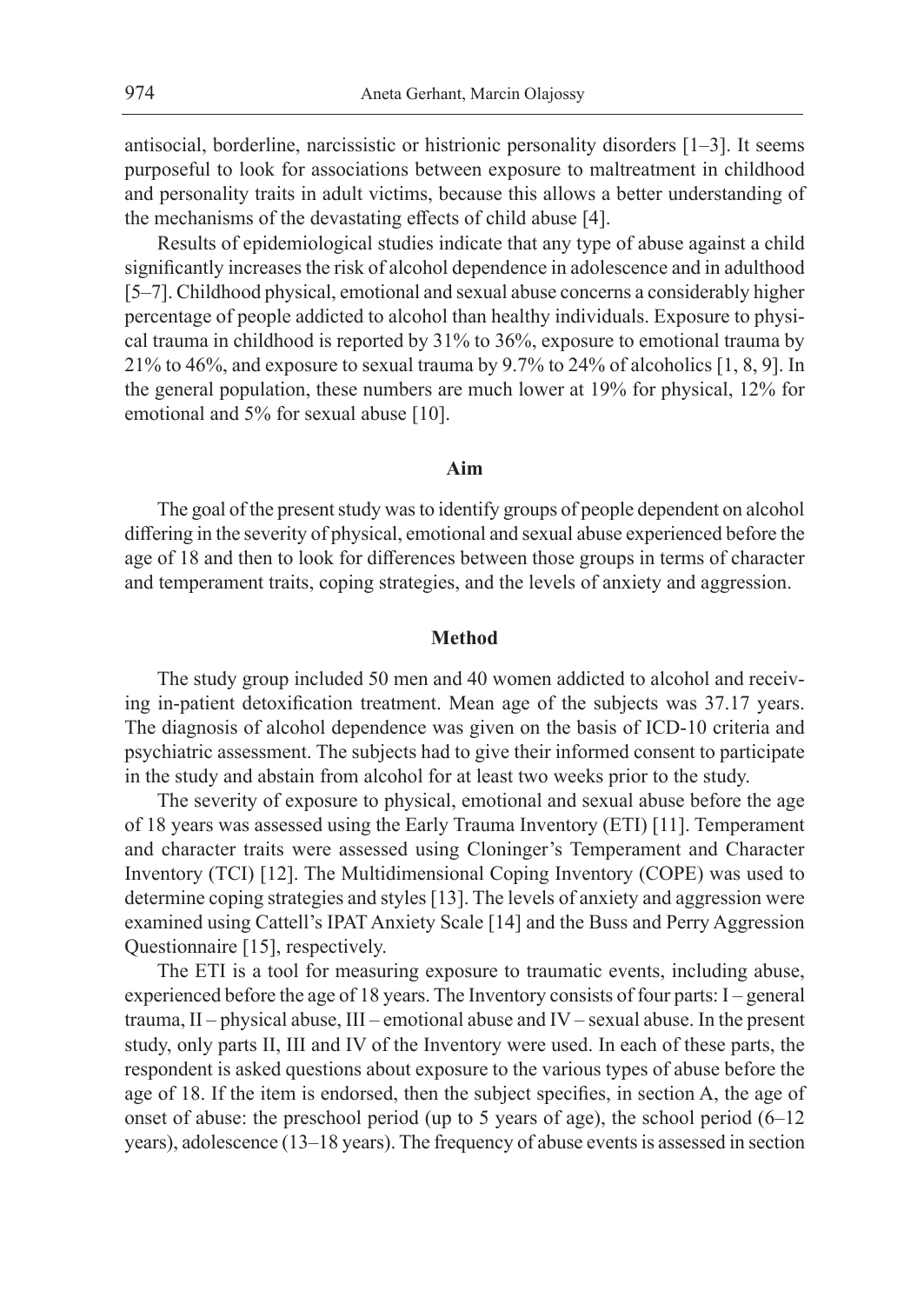antisocial, borderline, narcissistic or histrionic personality disorders [1–3]. It seems purposeful to look for associations between exposure to maltreatment in childhood and personality traits in adult victims, because this allows a better understanding of the mechanisms of the devastating effects of child abuse [4].

Results of epidemiological studies indicate that any type of abuse against a child significantly increases the risk of alcohol dependence in adolescence and in adulthood [5–7]. Childhood physical, emotional and sexual abuse concerns a considerably higher percentage of people addicted to alcohol than healthy individuals. Exposure to physical trauma in childhood is reported by 31% to 36%, exposure to emotional trauma by 21% to 46%, and exposure to sexual trauma by 9.7% to 24% of alcoholics [1, 8, 9]. In the general population, these numbers are much lower at 19% for physical, 12% for emotional and 5% for sexual abuse [10].

#### **Aim**

The goal of the present study was to identify groups of people dependent on alcohol differing in the severity of physical, emotional and sexual abuse experienced before the age of 18 and then to look for differences between those groups in terms of character and temperament traits, coping strategies, and the levels of anxiety and aggression.

#### **Method**

The study group included 50 men and 40 women addicted to alcohol and receiving in-patient detoxification treatment. Mean age of the subjects was 37.17 years. The diagnosis of alcohol dependence was given on the basis of ICD-10 criteria and psychiatric assessment. The subjects had to give their informed consent to participate in the study and abstain from alcohol for at least two weeks prior to the study.

The severity of exposure to physical, emotional and sexual abuse before the age of 18 years was assessed using the Early Trauma Inventory (ETI) [11]. Temperament and character traits were assessed using Cloninger's Temperament and Character Inventory (TCI) [12]. The Multidimensional Coping Inventory (COPE) was used to determine coping strategies and styles [13]. The levels of anxiety and aggression were examined using Cattell's IPAT Anxiety Scale [14] and the Buss and Perry Aggression Questionnaire [15], respectively.

The ETI is a tool for measuring exposure to traumatic events, including abuse, experienced before the age of 18 years. The Inventory consists of four parts: I – general trauma, II – physical abuse, III – emotional abuse and IV – sexual abuse. In the present study, only parts II, III and IV of the Inventory were used. In each of these parts, the respondent is asked questions about exposure to the various types of abuse before the age of 18. If the item is endorsed, then the subject specifies, in section A, the age of onset of abuse: the preschool period (up to 5 years of age), the school period (6–12 years), adolescence (13–18 years). The frequency of abuse events is assessed in section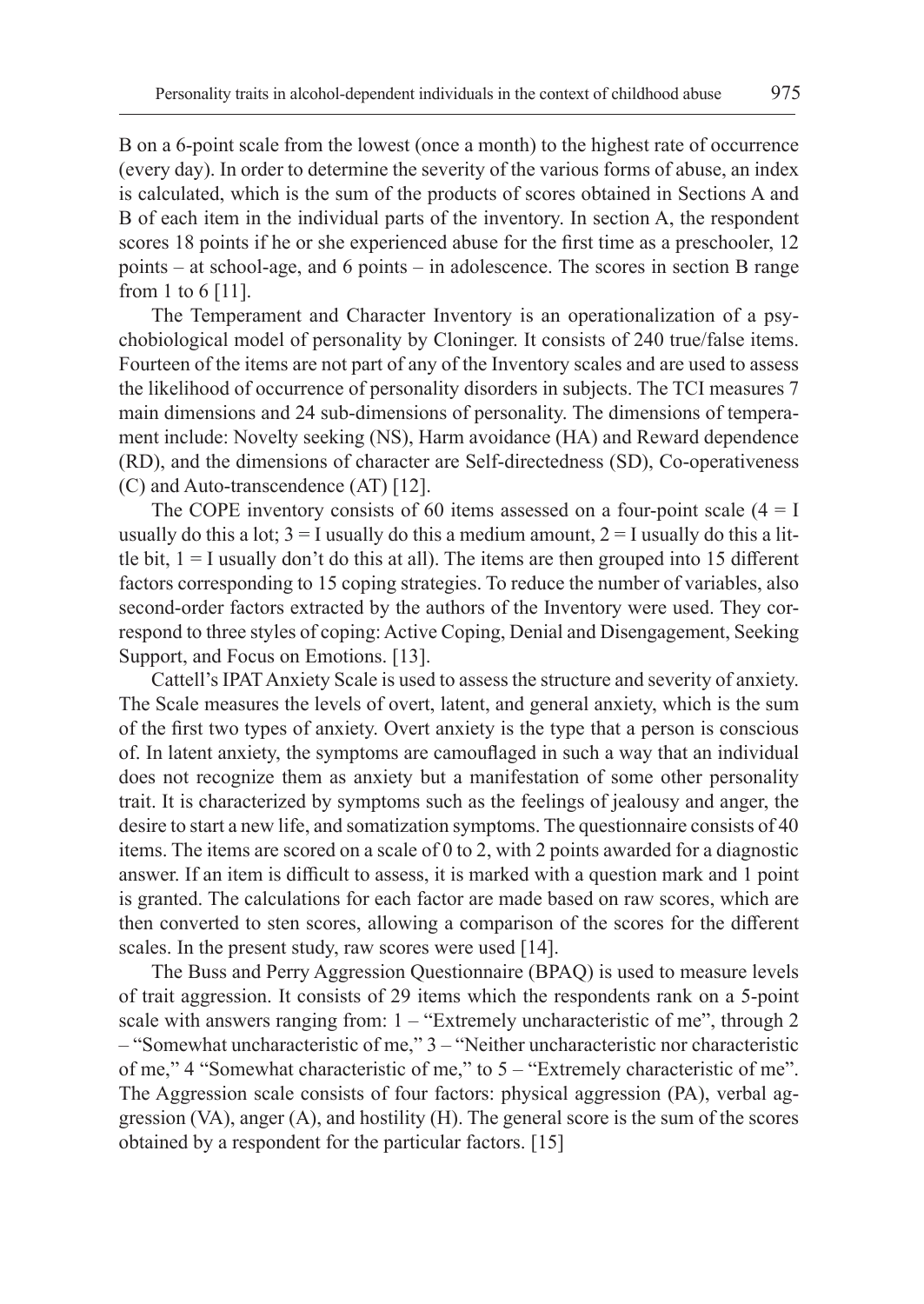B on a 6-point scale from the lowest (once a month) to the highest rate of occurrence (every day). In order to determine the severity of the various forms of abuse, an index is calculated, which is the sum of the products of scores obtained in Sections A and B of each item in the individual parts of the inventory. In section A, the respondent scores 18 points if he or she experienced abuse for the first time as a preschooler, 12 points – at school-age, and 6 points – in adolescence. The scores in section B range from 1 to 6 [11].

The Temperament and Character Inventory is an operationalization of a psychobiological model of personality by Cloninger. It consists of 240 true/false items. Fourteen of the items are not part of any of the Inventory scales and are used to assess the likelihood of occurrence of personality disorders in subjects. The TCI measures 7 main dimensions and 24 sub-dimensions of personality. The dimensions of temperament include: Novelty seeking (NS), Harm avoidance (HA) and Reward dependence (RD), and the dimensions of character are Self-directedness (SD), Co-operativeness (C) and Auto-transcendence (AT) [12].

The COPE inventory consists of 60 items assessed on a four-point scale  $(4 = I)$ usually do this a lot;  $3 = I$  usually do this a medium amount,  $2 = I$  usually do this a little bit,  $1 = I$  usually don't do this at all). The items are then grouped into 15 different factors corresponding to 15 coping strategies. To reduce the number of variables, also second-order factors extracted by the authors of the Inventory were used. They correspond to three styles of coping: Active Coping, Denial and Disengagement, Seeking Support, and Focus on Emotions. [13].

Cattell's IPAT Anxiety Scale is used to assess the structure and severity of anxiety. The Scale measures the levels of overt, latent, and general anxiety, which is the sum of the first two types of anxiety. Overt anxiety is the type that a person is conscious of. In latent anxiety, the symptoms are camouflaged in such a way that an individual does not recognize them as anxiety but a manifestation of some other personality trait. It is characterized by symptoms such as the feelings of jealousy and anger, the desire to start a new life, and somatization symptoms. The questionnaire consists of 40 items. The items are scored on a scale of 0 to 2, with 2 points awarded for a diagnostic answer. If an item is difficult to assess, it is marked with a question mark and 1 point is granted. The calculations for each factor are made based on raw scores, which are then converted to sten scores, allowing a comparison of the scores for the different scales. In the present study, raw scores were used [14].

The Buss and Perry Aggression Questionnaire (BPAQ) is used to measure levels of trait aggression. It consists of 29 items which the respondents rank on a 5-point scale with answers ranging from:  $1 -$  "Extremely uncharacteristic of me", through 2 – "Somewhat uncharacteristic of me," 3 – "Neither uncharacteristic nor characteristic of me," 4 "Somewhat characteristic of me," to 5 – "Extremely characteristic of me". The Aggression scale consists of four factors: physical aggression (PA), verbal aggression (VA), anger (A), and hostility (H). The general score is the sum of the scores obtained by a respondent for the particular factors. [15]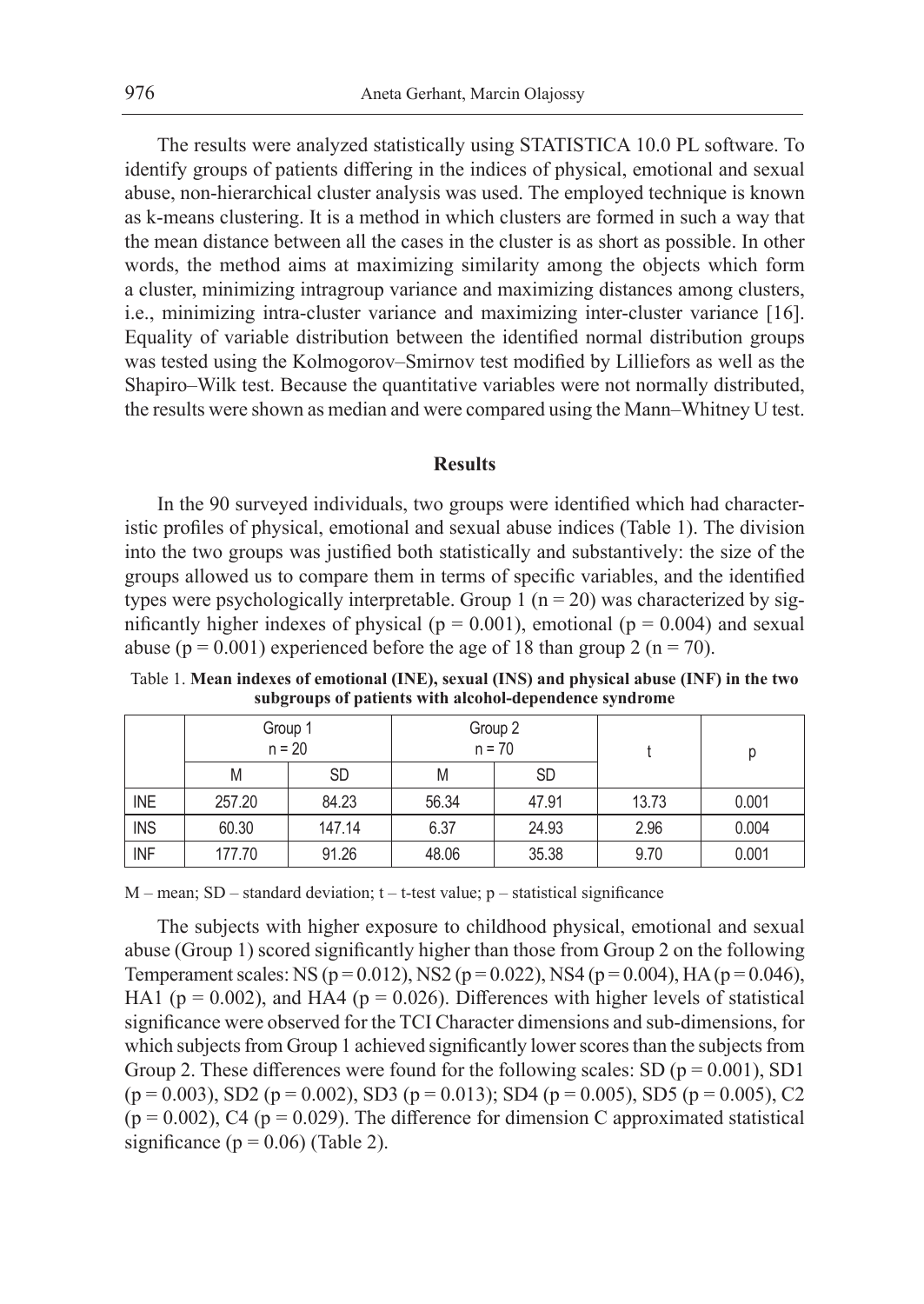The results were analyzed statistically using STATISTICA 10.0 PL software. To identify groups of patients differing in the indices of physical, emotional and sexual abuse, non-hierarchical cluster analysis was used. The employed technique is known as k-means clustering. It is a method in which clusters are formed in such a way that the mean distance between all the cases in the cluster is as short as possible. In other words, the method aims at maximizing similarity among the objects which form a cluster, minimizing intragroup variance and maximizing distances among clusters, i.e., minimizing intra-cluster variance and maximizing inter-cluster variance [16]. Equality of variable distribution between the identified normal distribution groups was tested using the Kolmogorov–Smirnov test modified by Lilliefors as well as the Shapiro–Wilk test. Because the quantitative variables were not normally distributed, the results were shown as median and were compared using the Mann–Whitney U test.

#### **Results**

In the 90 surveyed individuals, two groups were identified which had characteristic profiles of physical, emotional and sexual abuse indices (Table 1). The division into the two groups was justified both statistically and substantively: the size of the groups allowed us to compare them in terms of specific variables, and the identified types were psychologically interpretable. Group  $1$  (n = 20) was characterized by significantly higher indexes of physical ( $p = 0.001$ ), emotional ( $p = 0.004$ ) and sexual abuse ( $p = 0.001$ ) experienced before the age of 18 than group 2 ( $n = 70$ ).

Table 1. **Mean indexes of emotional (INE), sexual (INS) and physical abuse (INF) in the two subgroups of patients with alcohol-dependence syndrome**

|                           |        | Group 1<br>$n = 20$ | Group 2<br>$n = 70$ |           |       |       |
|---------------------------|--------|---------------------|---------------------|-----------|-------|-------|
|                           | M      | SD                  | M                   | <b>SD</b> |       |       |
| <b>INE</b>                | 257.20 | 84.23               | 56.34               | 47.91     | 13.73 | 0.001 |
| <b>INS</b>                | 60.30  | 147.14              | 6.37                | 24.93     | 2.96  | 0.004 |
| $\overline{\mathsf{INF}}$ | 177.70 | 91.26               | 48.06               | 35.38     | 9.70  | 0.001 |

 $M$  – mean; SD – standard deviation;  $t$  –  $t$ -test value;  $p$  – statistical significance

The subjects with higher exposure to childhood physical, emotional and sexual abuse (Group 1) scored significantly higher than those from Group 2 on the following Temperament scales: NS ( $p = 0.012$ ), NS2 ( $p = 0.022$ ), NS4 ( $p = 0.004$ ), HA ( $p = 0.046$ ), HA1 ( $p = 0.002$ ), and HA4 ( $p = 0.026$ ). Differences with higher levels of statistical significance were observed for the TCI Character dimensions and sub-dimensions, for which subjects from Group 1 achieved significantly lower scores than the subjects from Group 2. These differences were found for the following scales: SD ( $p = 0.001$ ), SD1  $(p = 0.003)$ , SD2  $(p = 0.002)$ , SD3  $(p = 0.013)$ ; SD4  $(p = 0.005)$ , SD5  $(p = 0.005)$ , C2  $(p = 0.002)$ , C4 ( $p = 0.029$ ). The difference for dimension C approximated statistical significance ( $p = 0.06$ ) (Table 2).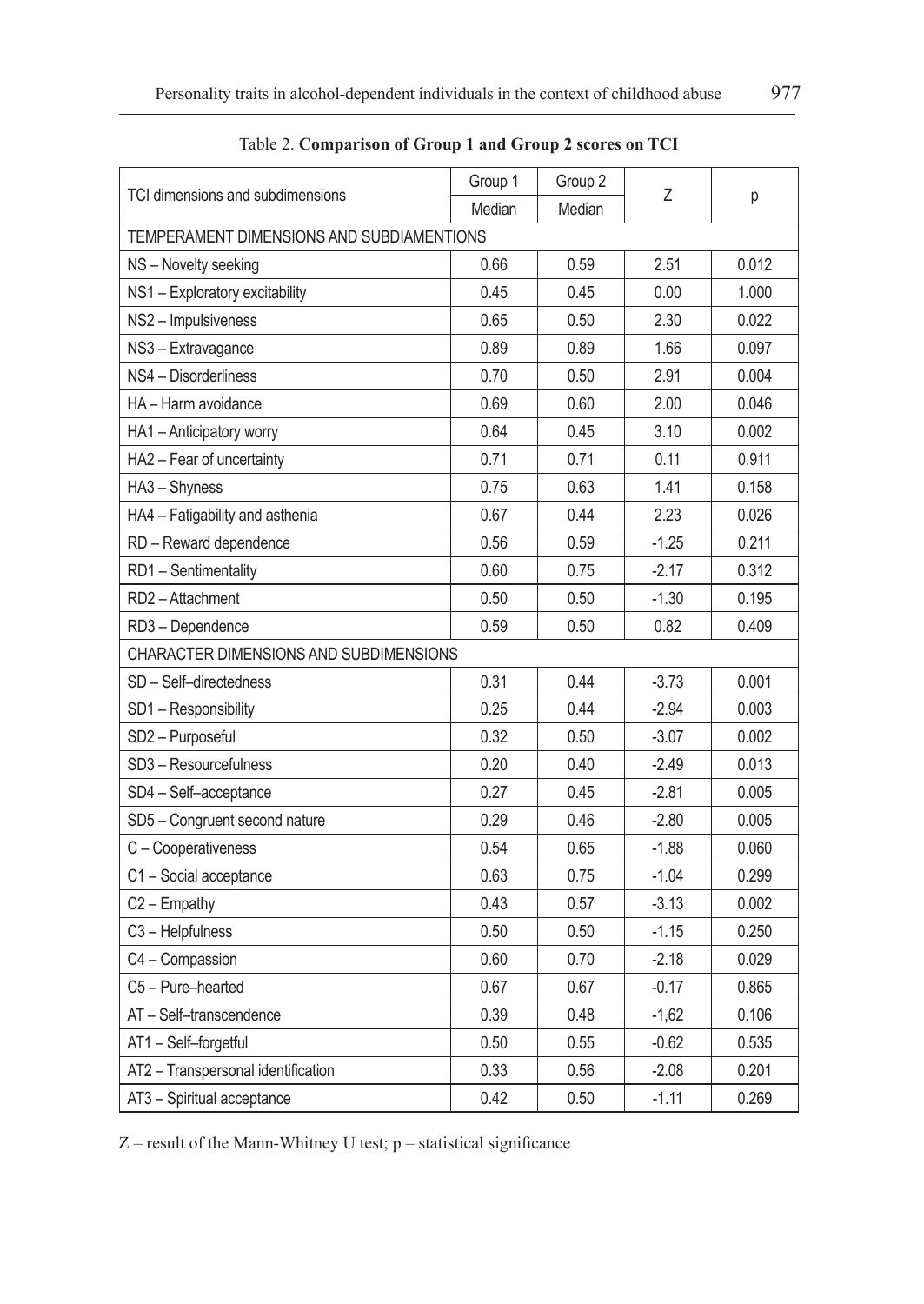|                                           | Group 1                                | Group 2 |         | р     |  |  |  |
|-------------------------------------------|----------------------------------------|---------|---------|-------|--|--|--|
| TCI dimensions and subdimensions          | Median                                 | Median  | Ζ       |       |  |  |  |
| TEMPERAMENT DIMENSIONS AND SUBDIAMENTIONS |                                        |         |         |       |  |  |  |
| NS - Novelty seeking                      | 0.66                                   | 0.59    | 2.51    | 0.012 |  |  |  |
| NS1 - Exploratory excitability            | 0.45                                   | 0.45    | 0.00    | 1.000 |  |  |  |
| NS2 - Impulsiveness                       | 0.65                                   | 0.50    | 2.30    | 0.022 |  |  |  |
| NS3 - Extravagance                        | 0.89                                   | 0.89    | 1.66    | 0.097 |  |  |  |
| NS4 - Disorderliness                      | 0.70                                   | 0.50    | 2.91    | 0.004 |  |  |  |
| HA - Harm avoidance                       | 0.69                                   | 0.60    | 2.00    | 0.046 |  |  |  |
| HA1 - Anticipatory worry                  | 0.64                                   | 0.45    | 3.10    | 0.002 |  |  |  |
| HA2 - Fear of uncertainty                 | 0.71                                   | 0.71    | 0.11    | 0.911 |  |  |  |
| HA3 - Shyness                             | 0.75                                   | 0.63    | 1.41    | 0.158 |  |  |  |
| HA4 - Fatigability and asthenia           | 0.67                                   | 0.44    | 2.23    | 0.026 |  |  |  |
| RD - Reward dependence                    | 0.56                                   | 0.59    | $-1.25$ | 0.211 |  |  |  |
| RD1 - Sentimentality                      | 0.60                                   | 0.75    | $-2.17$ | 0.312 |  |  |  |
| RD2-Attachment                            | 0.50                                   | 0.50    | $-1.30$ | 0.195 |  |  |  |
| RD3-Dependence                            | 0.59                                   | 0.50    | 0.82    | 0.409 |  |  |  |
|                                           | CHARACTER DIMENSIONS AND SUBDIMENSIONS |         |         |       |  |  |  |
| SD - Self-directedness                    | 0.31                                   | 0.44    | $-3.73$ | 0.001 |  |  |  |
| SD1 - Responsibility                      | 0.25                                   | 0.44    | $-2.94$ | 0.003 |  |  |  |
| SD2 - Purposeful                          | 0.32                                   | 0.50    | $-3.07$ | 0.002 |  |  |  |
| SD3 - Resourcefulness                     | 0.20                                   | 0.40    | $-2.49$ | 0.013 |  |  |  |
| SD4 - Self-acceptance                     | 0.27                                   | 0.45    | $-2.81$ | 0.005 |  |  |  |
| SD5 - Congruent second nature             | 0.29                                   | 0.46    | $-2.80$ | 0.005 |  |  |  |
| C - Cooperativeness                       | 0.54                                   | 0.65    | $-1.88$ | 0.060 |  |  |  |
| C1-Social acceptance                      | 0.63                                   | 0.75    | $-1.04$ | 0.299 |  |  |  |
| C2 - Empathy                              | 0.43                                   | 0.57    | $-3.13$ | 0.002 |  |  |  |
| C3 - Helpfulness                          | 0.50                                   | 0.50    | $-1.15$ | 0.250 |  |  |  |
| C4 - Compassion                           | 0.60                                   | 0.70    | $-2.18$ | 0.029 |  |  |  |
| C5 - Pure-hearted                         | 0.67                                   | 0.67    | $-0.17$ | 0.865 |  |  |  |
| AT - Self-transcendence                   | 0.39                                   | 0.48    | $-1,62$ | 0.106 |  |  |  |
| AT1-Self-forgetful                        | 0.50                                   | 0.55    | $-0.62$ | 0.535 |  |  |  |
| AT2 - Transpersonal identification        | 0.33                                   | 0.56    | $-2.08$ | 0.201 |  |  |  |
| AT3 - Spiritual acceptance                | 0.42                                   | 0.50    | $-1.11$ | 0.269 |  |  |  |

Table 2. **Comparison of Group 1 and Group 2 scores on TCI**

Z – result of the Mann-Whitney U test; p – statistical significance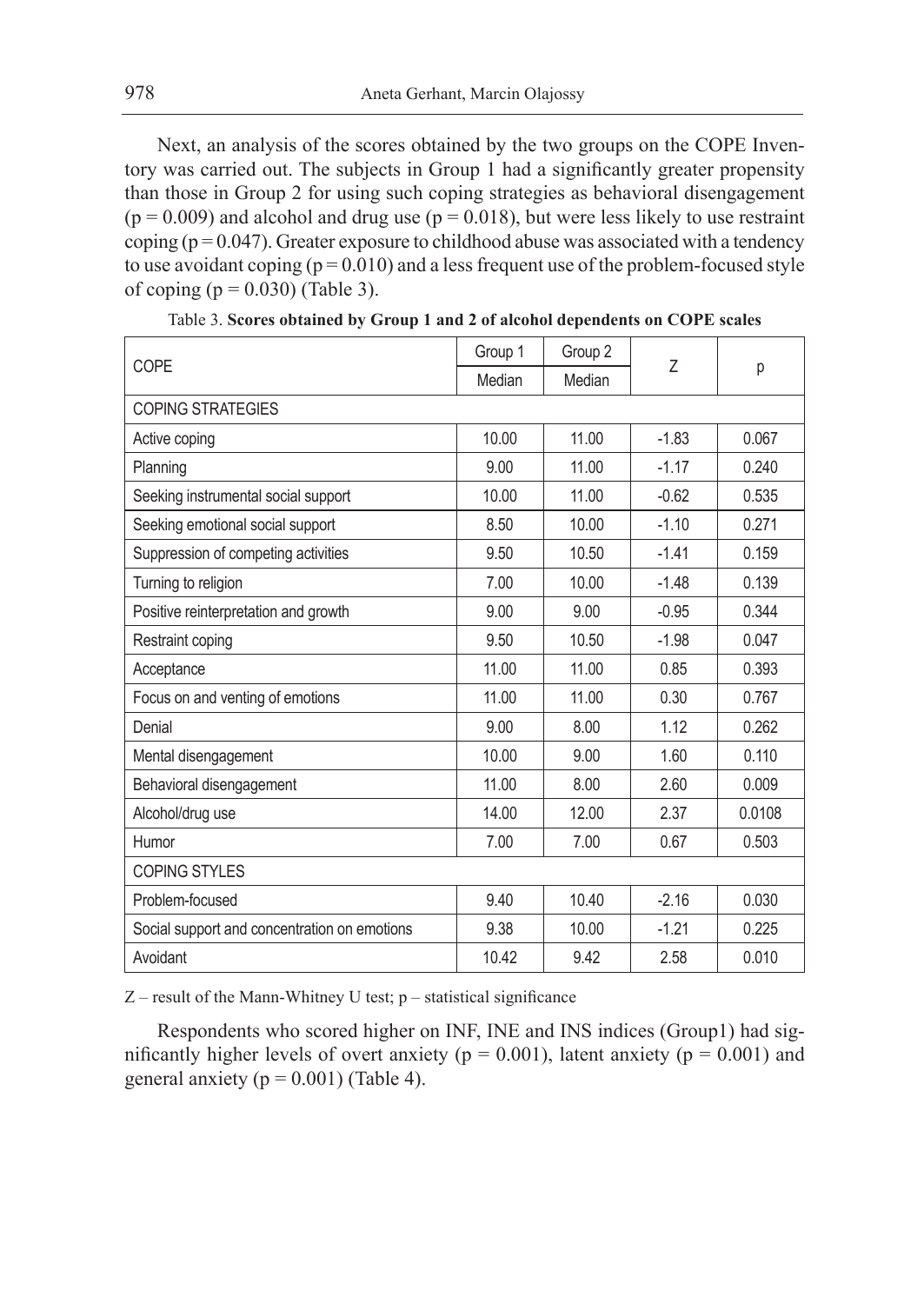Next, an analysis of the scores obtained by the two groups on the COPE Inventory was carried out. The subjects in Group 1 had a significantly greater propensity than those in Group 2 for using such coping strategies as behavioral disengagement  $(p = 0.009)$  and alcohol and drug use  $(p = 0.018)$ , but were less likely to use restraint coping  $(p = 0.047)$ . Greater exposure to childhood abuse was associated with a tendency to use avoidant coping  $(p = 0.010)$  and a less frequent use of the problem-focused style of coping  $(p = 0.030)$  (Table 3).

|                                              | Group 1 | Group 2 |         | р      |
|----------------------------------------------|---------|---------|---------|--------|
| COPE                                         | Median  | Median  | 7       |        |
| <b>COPING STRATEGIES</b>                     |         |         |         |        |
| Active coping                                | 10.00   | 11.00   | $-1.83$ | 0.067  |
| Planning                                     | 9.00    | 11.00   | $-1.17$ | 0.240  |
| Seeking instrumental social support          | 10.00   | 11.00   | $-0.62$ | 0.535  |
| Seeking emotional social support             | 8.50    | 10.00   | $-1.10$ | 0.271  |
| Suppression of competing activities          | 9.50    | 10.50   | $-1.41$ | 0.159  |
| Turning to religion                          | 7.00    | 10.00   | $-1.48$ | 0.139  |
| Positive reinterpretation and growth         | 9.00    | 9.00    | $-0.95$ | 0.344  |
| Restraint coping                             | 9.50    | 10.50   | $-1.98$ | 0.047  |
| Acceptance                                   | 11.00   | 11.00   | 0.85    | 0.393  |
| Focus on and venting of emotions             | 11.00   | 11.00   | 0.30    | 0.767  |
| Denial                                       | 9.00    | 8.00    | 1.12    | 0.262  |
| Mental disengagement                         | 10.00   | 9.00    | 1.60    | 0.110  |
| Behavioral disengagement                     | 11.00   | 8.00    | 2.60    | 0.009  |
| Alcohol/drug use                             | 14.00   | 12.00   | 2.37    | 0.0108 |
| Humor                                        | 7.00    | 7.00    | 0.67    | 0.503  |
| <b>COPING STYLES</b>                         |         |         |         |        |
| Problem-focused                              | 9.40    | 10.40   | $-2.16$ | 0.030  |
| Social support and concentration on emotions | 9.38    | 10.00   | $-1.21$ | 0.225  |
| Avoidant                                     | 10.42   | 9.42    | 2.58    | 0.010  |

Table 3. **Scores obtained by Group 1 and 2 of alcohol dependents on COPE scales**

 $Z$  – result of the Mann-Whitney U test;  $p$  – statistical significance

Respondents who scored higher on INF, INE and INS indices (Group1) had significantly higher levels of overt anxiety ( $p = 0.001$ ), latent anxiety ( $p = 0.001$ ) and general anxiety ( $p = 0.001$ ) (Table 4).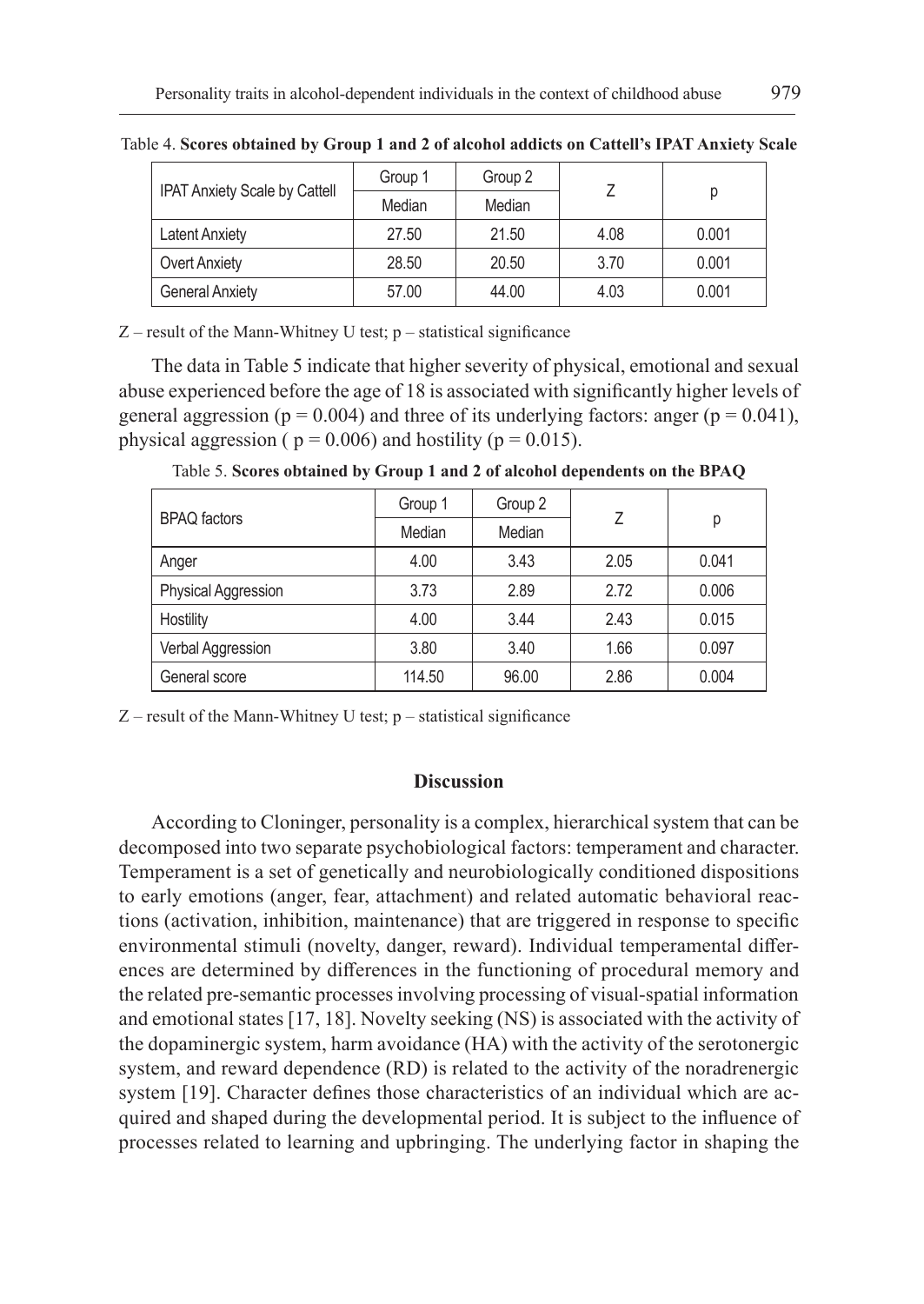|                                      | Group 1 | Group 2 |      | р     |
|--------------------------------------|---------|---------|------|-------|
| <b>IPAT Anxiety Scale by Cattell</b> | Median  | Median  |      |       |
| <b>Latent Anxiety</b>                | 27.50   | 21.50   | 4.08 | 0.001 |
| <b>Overt Anxiety</b>                 | 28.50   | 20.50   | 3.70 | 0.001 |
| <b>General Anxiety</b>               | 57.00   | 44.00   | 4.03 | 0.001 |

Table 4. **Scores obtained by Group 1 and 2 of alcohol addicts on Cattell's IPAT Anxiety Scale**

 $Z$  – result of the Mann-Whitney U test;  $p$  – statistical significance

The data in Table 5 indicate that higher severity of physical, emotional and sexual abuse experienced before the age of 18 is associated with significantly higher levels of general aggression ( $p = 0.004$ ) and three of its underlying factors: anger ( $p = 0.041$ ), physical aggression ( $p = 0.006$ ) and hostility ( $p = 0.015$ ).

|                     | Group 1 | Group 2 | 7    | р     |
|---------------------|---------|---------|------|-------|
| <b>BPAQ</b> factors | Median  | Median  |      |       |
| Anger               | 4.00    | 3.43    | 2.05 | 0.041 |
| Physical Aggression | 3.73    | 2.89    | 2.72 | 0.006 |
| Hostility           | 4.00    | 3.44    | 2.43 | 0.015 |
| Verbal Aggression   | 3.80    | 3.40    | 1.66 | 0.097 |
| General score       | 114.50  | 96.00   | 2.86 | 0.004 |

Table 5. **Scores obtained by Group 1 and 2 of alcohol dependents on the BPAQ**

 $Z$  – result of the Mann-Whitney U test;  $p$  – statistical significance

## **Discussion**

According to Cloninger, personality is a complex, hierarchical system that can be decomposed into two separate psychobiological factors: temperament and character. Temperament is a set of genetically and neurobiologically conditioned dispositions to early emotions (anger, fear, attachment) and related automatic behavioral reactions (activation, inhibition, maintenance) that are triggered in response to specific environmental stimuli (novelty, danger, reward). Individual temperamental differences are determined by differences in the functioning of procedural memory and the related pre-semantic processes involving processing of visual-spatial information and emotional states [17, 18]. Novelty seeking (NS) is associated with the activity of the dopaminergic system, harm avoidance (HA) with the activity of the serotonergic system, and reward dependence (RD) is related to the activity of the noradrenergic system [19]. Character defines those characteristics of an individual which are acquired and shaped during the developmental period. It is subject to the influence of processes related to learning and upbringing. The underlying factor in shaping the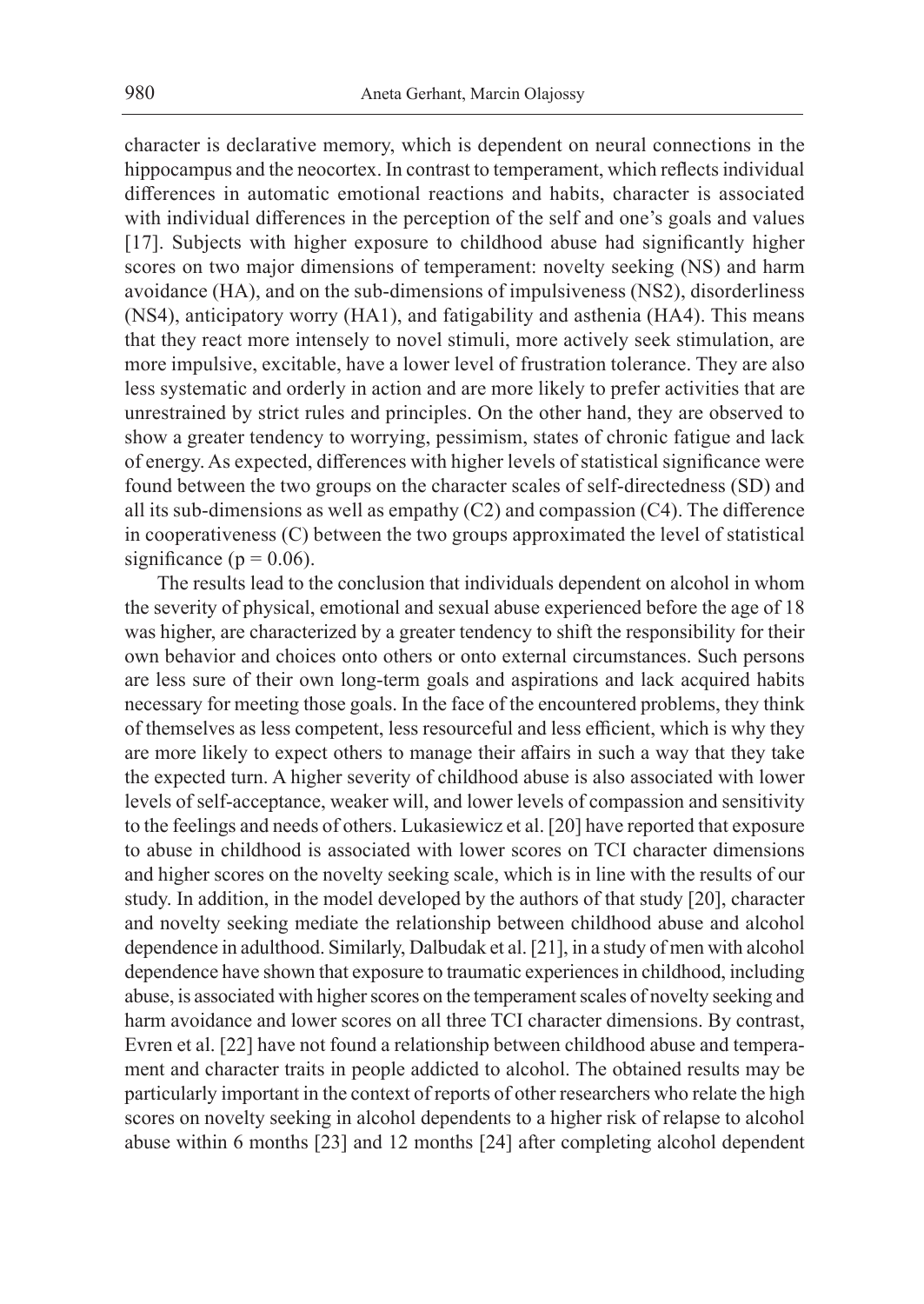character is declarative memory, which is dependent on neural connections in the hippocampus and the neocortex. In contrast to temperament, which reflects individual differences in automatic emotional reactions and habits, character is associated with individual differences in the perception of the self and one's goals and values [17]. Subjects with higher exposure to childhood abuse had significantly higher scores on two major dimensions of temperament: novelty seeking (NS) and harm avoidance (HA), and on the sub-dimensions of impulsiveness (NS2), disorderliness (NS4), anticipatory worry (HA1), and fatigability and asthenia (HA4). This means that they react more intensely to novel stimuli, more actively seek stimulation, are more impulsive, excitable, have a lower level of frustration tolerance. They are also less systematic and orderly in action and are more likely to prefer activities that are unrestrained by strict rules and principles. On the other hand, they are observed to show a greater tendency to worrying, pessimism, states of chronic fatigue and lack of energy. As expected, differences with higher levels of statistical significance were found between the two groups on the character scales of self-directedness (SD) and all its sub-dimensions as well as empathy (C2) and compassion (C4). The difference in cooperativeness (C) between the two groups approximated the level of statistical significance ( $p = 0.06$ ).

The results lead to the conclusion that individuals dependent on alcohol in whom the severity of physical, emotional and sexual abuse experienced before the age of 18 was higher, are characterized by a greater tendency to shift the responsibility for their own behavior and choices onto others or onto external circumstances. Such persons are less sure of their own long-term goals and aspirations and lack acquired habits necessary for meeting those goals. In the face of the encountered problems, they think of themselves as less competent, less resourceful and less efficient, which is why they are more likely to expect others to manage their affairs in such a way that they take the expected turn. A higher severity of childhood abuse is also associated with lower levels of self-acceptance, weaker will, and lower levels of compassion and sensitivity to the feelings and needs of others. Lukasiewicz et al. [20] have reported that exposure to abuse in childhood is associated with lower scores on TCI character dimensions and higher scores on the novelty seeking scale, which is in line with the results of our study. In addition, in the model developed by the authors of that study [20], character and novelty seeking mediate the relationship between childhood abuse and alcohol dependence in adulthood. Similarly, Dalbudak et al. [21], in a study of men with alcohol dependence have shown that exposure to traumatic experiences in childhood, including abuse, is associated with higher scores on the temperament scales of novelty seeking and harm avoidance and lower scores on all three TCI character dimensions. By contrast, Evren et al. [22] have not found a relationship between childhood abuse and temperament and character traits in people addicted to alcohol. The obtained results may be particularly important in the context of reports of other researchers who relate the high scores on novelty seeking in alcohol dependents to a higher risk of relapse to alcohol abuse within 6 months [23] and 12 months [24] after completing alcohol dependent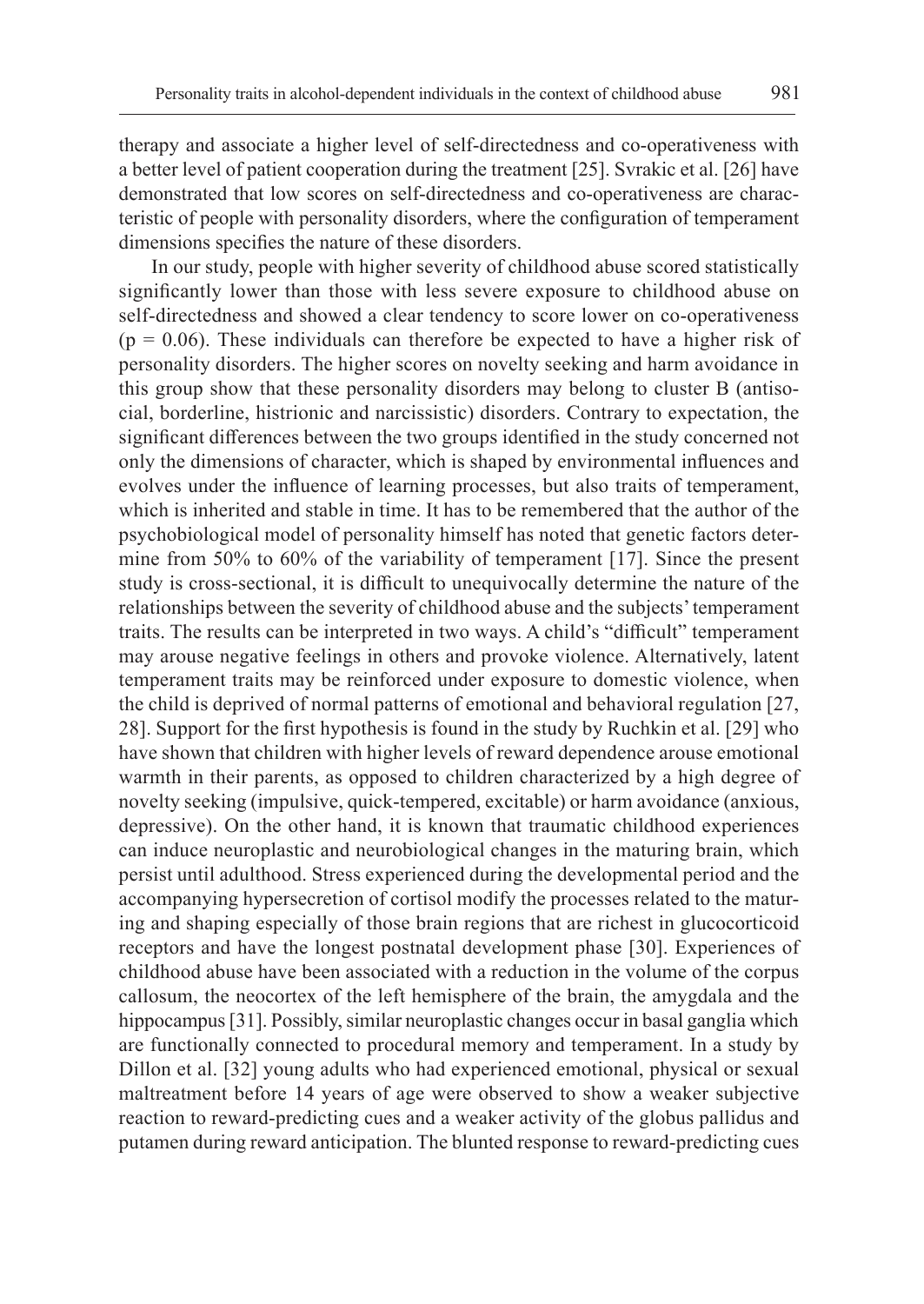therapy and associate a higher level of self-directedness and co-operativeness with a better level of patient cooperation during the treatment [25]. Svrakic et al. [26] have demonstrated that low scores on self-directedness and co-operativeness are characteristic of people with personality disorders, where the configuration of temperament dimensions specifies the nature of these disorders.

In our study, people with higher severity of childhood abuse scored statistically significantly lower than those with less severe exposure to childhood abuse on self-directedness and showed a clear tendency to score lower on co-operativeness  $(p = 0.06)$ . These individuals can therefore be expected to have a higher risk of personality disorders. The higher scores on novelty seeking and harm avoidance in this group show that these personality disorders may belong to cluster B (antisocial, borderline, histrionic and narcissistic) disorders. Contrary to expectation, the significant differences between the two groups identified in the study concerned not only the dimensions of character, which is shaped by environmental influences and evolves under the influence of learning processes, but also traits of temperament, which is inherited and stable in time. It has to be remembered that the author of the psychobiological model of personality himself has noted that genetic factors determine from 50% to 60% of the variability of temperament [17]. Since the present study is cross-sectional, it is difficult to unequivocally determine the nature of the relationships between the severity of childhood abuse and the subjects' temperament traits. The results can be interpreted in two ways. A child's "difficult" temperament may arouse negative feelings in others and provoke violence. Alternatively, latent temperament traits may be reinforced under exposure to domestic violence, when the child is deprived of normal patterns of emotional and behavioral regulation [27, 28]. Support for the first hypothesis is found in the study by Ruchkin et al. [29] who have shown that children with higher levels of reward dependence arouse emotional warmth in their parents, as opposed to children characterized by a high degree of novelty seeking (impulsive, quick-tempered, excitable) or harm avoidance (anxious, depressive). On the other hand, it is known that traumatic childhood experiences can induce neuroplastic and neurobiological changes in the maturing brain, which persist until adulthood. Stress experienced during the developmental period and the accompanying hypersecretion of cortisol modify the processes related to the maturing and shaping especially of those brain regions that are richest in glucocorticoid receptors and have the longest postnatal development phase [30]. Experiences of childhood abuse have been associated with a reduction in the volume of the corpus callosum, the neocortex of the left hemisphere of the brain, the amygdala and the hippocampus [31]. Possibly, similar neuroplastic changes occur in basal ganglia which are functionally connected to procedural memory and temperament. In a study by Dillon et al. [32] young adults who had experienced emotional, physical or sexual maltreatment before 14 years of age were observed to show a weaker subjective reaction to reward-predicting cues and a weaker activity of the globus pallidus and putamen during reward anticipation. The blunted response to reward-predicting cues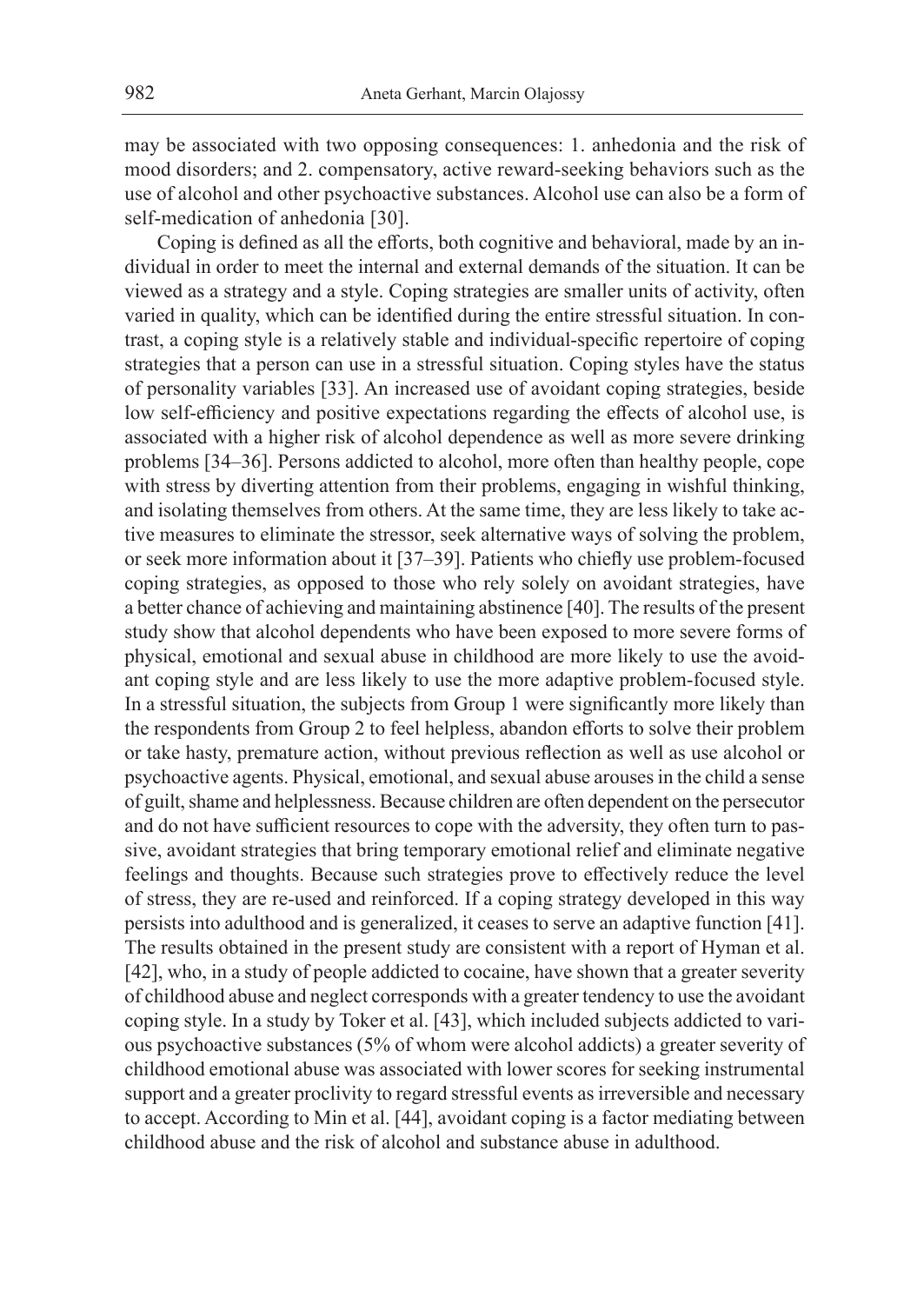may be associated with two opposing consequences: 1. anhedonia and the risk of mood disorders; and 2. compensatory, active reward-seeking behaviors such as the use of alcohol and other psychoactive substances. Alcohol use can also be a form of self-medication of anhedonia [30].

Coping is defined as all the efforts, both cognitive and behavioral, made by an individual in order to meet the internal and external demands of the situation. It can be viewed as a strategy and a style. Coping strategies are smaller units of activity, often varied in quality, which can be identified during the entire stressful situation. In contrast, a coping style is a relatively stable and individual-specific repertoire of coping strategies that a person can use in a stressful situation. Coping styles have the status of personality variables [33]. An increased use of avoidant coping strategies, beside low self-efficiency and positive expectations regarding the effects of alcohol use, is associated with a higher risk of alcohol dependence as well as more severe drinking problems [34–36]. Persons addicted to alcohol, more often than healthy people, cope with stress by diverting attention from their problems, engaging in wishful thinking, and isolating themselves from others. At the same time, they are less likely to take active measures to eliminate the stressor, seek alternative ways of solving the problem, or seek more information about it [37–39]. Patients who chiefly use problem-focused coping strategies, as opposed to those who rely solely on avoidant strategies, have a better chance of achieving and maintaining abstinence [40]. The results of the present study show that alcohol dependents who have been exposed to more severe forms of physical, emotional and sexual abuse in childhood are more likely to use the avoidant coping style and are less likely to use the more adaptive problem-focused style. In a stressful situation, the subjects from Group 1 were significantly more likely than the respondents from Group 2 to feel helpless, abandon efforts to solve their problem or take hasty, premature action, without previous reflection as well as use alcohol or psychoactive agents. Physical, emotional, and sexual abuse arouses in the child a sense of guilt, shame and helplessness. Because children are often dependent on the persecutor and do not have sufficient resources to cope with the adversity, they often turn to passive, avoidant strategies that bring temporary emotional relief and eliminate negative feelings and thoughts. Because such strategies prove to effectively reduce the level of stress, they are re-used and reinforced. If a coping strategy developed in this way persists into adulthood and is generalized, it ceases to serve an adaptive function [41]. The results obtained in the present study are consistent with a report of Hyman et al. [42], who, in a study of people addicted to cocaine, have shown that a greater severity of childhood abuse and neglect corresponds with a greater tendency to use the avoidant coping style. In a study by Toker et al. [43], which included subjects addicted to various psychoactive substances (5% of whom were alcohol addicts) a greater severity of childhood emotional abuse was associated with lower scores for seeking instrumental support and a greater proclivity to regard stressful events as irreversible and necessary to accept. According to Min et al. [44], avoidant coping is a factor mediating between childhood abuse and the risk of alcohol and substance abuse in adulthood.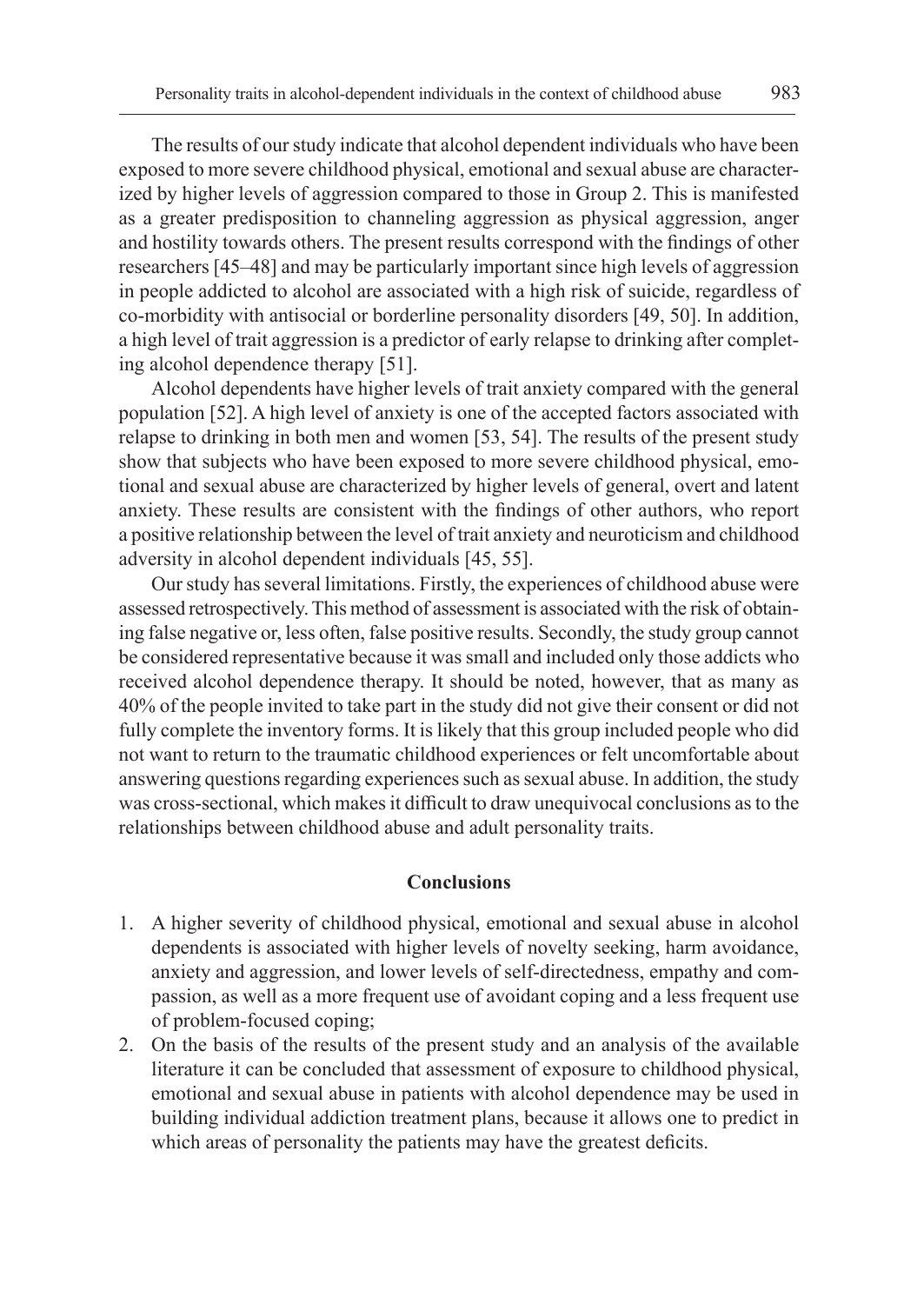The results of our study indicate that alcohol dependent individuals who have been exposed to more severe childhood physical, emotional and sexual abuse are characterized by higher levels of aggression compared to those in Group 2. This is manifested as a greater predisposition to channeling aggression as physical aggression, anger and hostility towards others. The present results correspond with the findings of other researchers [45–48] and may be particularly important since high levels of aggression in people addicted to alcohol are associated with a high risk of suicide, regardless of co-morbidity with antisocial or borderline personality disorders [49, 50]. In addition, a high level of trait aggression is a predictor of early relapse to drinking after completing alcohol dependence therapy [51].

Alcohol dependents have higher levels of trait anxiety compared with the general population [52]. A high level of anxiety is one of the accepted factors associated with relapse to drinking in both men and women [53, 54]. The results of the present study show that subjects who have been exposed to more severe childhood physical, emotional and sexual abuse are characterized by higher levels of general, overt and latent anxiety. These results are consistent with the findings of other authors, who report a positive relationship between the level of trait anxiety and neuroticism and childhood adversity in alcohol dependent individuals [45, 55].

Our study has several limitations. Firstly, the experiences of childhood abuse were assessed retrospectively. This method of assessment is associated with the risk of obtaining false negative or, less often, false positive results. Secondly, the study group cannot be considered representative because it was small and included only those addicts who received alcohol dependence therapy. It should be noted, however, that as many as 40% of the people invited to take part in the study did not give their consent or did not fully complete the inventory forms. It is likely that this group included people who did not want to return to the traumatic childhood experiences or felt uncomfortable about answering questions regarding experiences such as sexual abuse. In addition, the study was cross-sectional, which makes it difficult to draw unequivocal conclusions as to the relationships between childhood abuse and adult personality traits.

### **Conclusions**

- 1. A higher severity of childhood physical, emotional and sexual abuse in alcohol dependents is associated with higher levels of novelty seeking, harm avoidance, anxiety and aggression, and lower levels of self-directedness, empathy and compassion, as well as a more frequent use of avoidant coping and a less frequent use of problem-focused coping;
- 2. On the basis of the results of the present study and an analysis of the available literature it can be concluded that assessment of exposure to childhood physical, emotional and sexual abuse in patients with alcohol dependence may be used in building individual addiction treatment plans, because it allows one to predict in which areas of personality the patients may have the greatest deficits.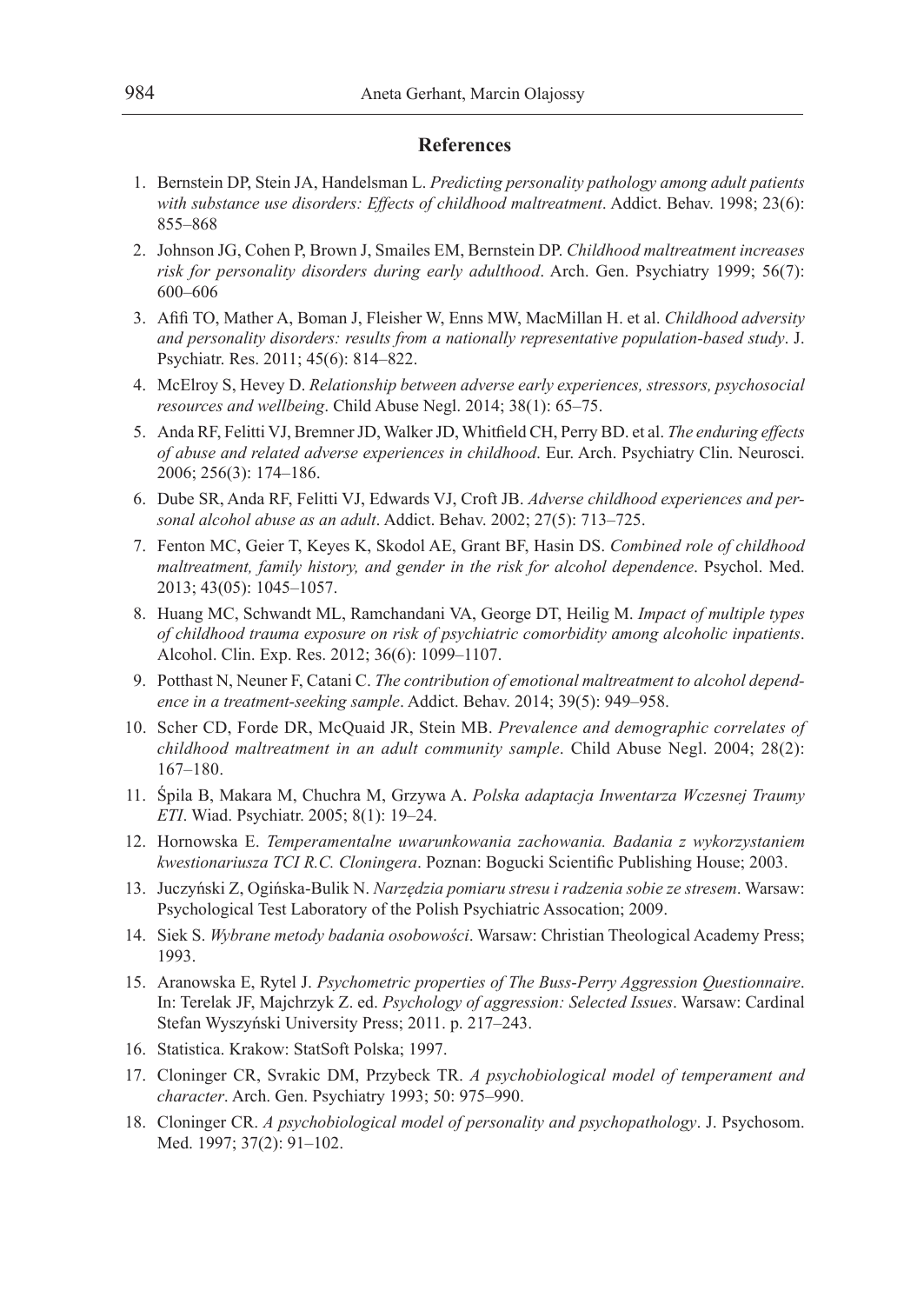## **References**

- 1. Bernstein DP, Stein JA, Handelsman L. *Predicting personality pathology among adult patients with substance use disorders: Effects of childhood maltreatment*. Addict. Behav. 1998; 23(6): 855–868
- 2. Johnson JG, Cohen P, Brown J, Smailes EM, Bernstein DP. *Childhood maltreatment increases risk for personality disorders during early adulthood*. Arch. Gen. Psychiatry 1999; 56(7): 600–606
- 3. Afifi TO, Mather A, Boman J, Fleisher W, Enns MW, MacMillan H. et al. *Childhood adversity and personality disorders: results from a nationally representative population-based study*. J. Psychiatr. Res. 2011; 45(6): 814–822.
- 4. McElroy S, Hevey D. *Relationship between adverse early experiences, stressors, psychosocial resources and wellbeing*. Child Abuse Negl. 2014; 38(1): 65–75.
- 5. Anda RF, Felitti VJ, Bremner JD, Walker JD, Whitfield CH, Perry BD. et al. *The enduring effects of abuse and related adverse experiences in childhood*. Eur. Arch. Psychiatry Clin. Neurosci. 2006; 256(3): 174–186.
- 6. Dube SR, Anda RF, Felitti VJ, Edwards VJ, Croft JB. *Adverse childhood experiences and personal alcohol abuse as an adult*. Addict. Behav. 2002; 27(5): 713–725.
- 7. Fenton MC, Geier T, Keyes K, Skodol AE, Grant BF, Hasin DS. *Combined role of childhood maltreatment, family history, and gender in the risk for alcohol dependence*. Psychol. Med. 2013; 43(05): 1045–1057.
- 8. Huang MC, Schwandt ML, Ramchandani VA, George DT, Heilig M. *Impact of multiple types of childhood trauma exposure on risk of psychiatric comorbidity among alcoholic inpatients*. Alcohol. Clin. Exp. Res. 2012; 36(6): 1099–1107.
- 9. Potthast N, Neuner F, Catani C. *The contribution of emotional maltreatment to alcohol dependence in a treatment-seeking sample*. Addict. Behav. 2014; 39(5): 949–958.
- 10. Scher CD, Forde DR, McQuaid JR, Stein MB. *Prevalence and demographic correlates of childhood maltreatment in an adult community sample*. Child Abuse Negl. 2004; 28(2): 167–180.
- 11. Śpila B, Makara M, Chuchra M, Grzywa A. *Polska adaptacja Inwentarza Wczesnej Traumy ETI*. Wiad. Psychiatr. 2005; 8(1): 19–24.
- 12. Hornowska E. *Temperamentalne uwarunkowania zachowania. Badania z wykorzystaniem kwestionariusza TCI R.C. Cloningera*. Poznan: Bogucki Scientific Publishing House; 2003.
- 13. Juczyński Z, Ogińska-Bulik N. *Narzędzia pomiaru stresu i radzenia sobie ze stresem*. Warsaw: Psychological Test Laboratory of the Polish Psychiatric Assocation; 2009.
- 14. Siek S. *Wybrane metody badania osobowości*. Warsaw: Christian Theological Academy Press; 1993.
- 15. Aranowska E, Rytel J. *Psychometric properties of The Buss-Perry Aggression Questionnaire*. In: Terelak JF, Majchrzyk Z. ed. *Psychology of aggression: Selected Issues*. Warsaw: Cardinal Stefan Wyszyński University Press; 2011. p. 217–243.
- 16. Statistica. Krakow: StatSoft Polska; 1997.
- 17. Cloninger CR, Svrakic DM, Przybeck TR. *A psychobiological model of temperament and character*. Arch. Gen. Psychiatry 1993; 50: 975–990.
- 18. Cloninger CR. *A psychobiological model of personality and psychopathology*. J. Psychosom. Med. 1997; 37(2): 91–102.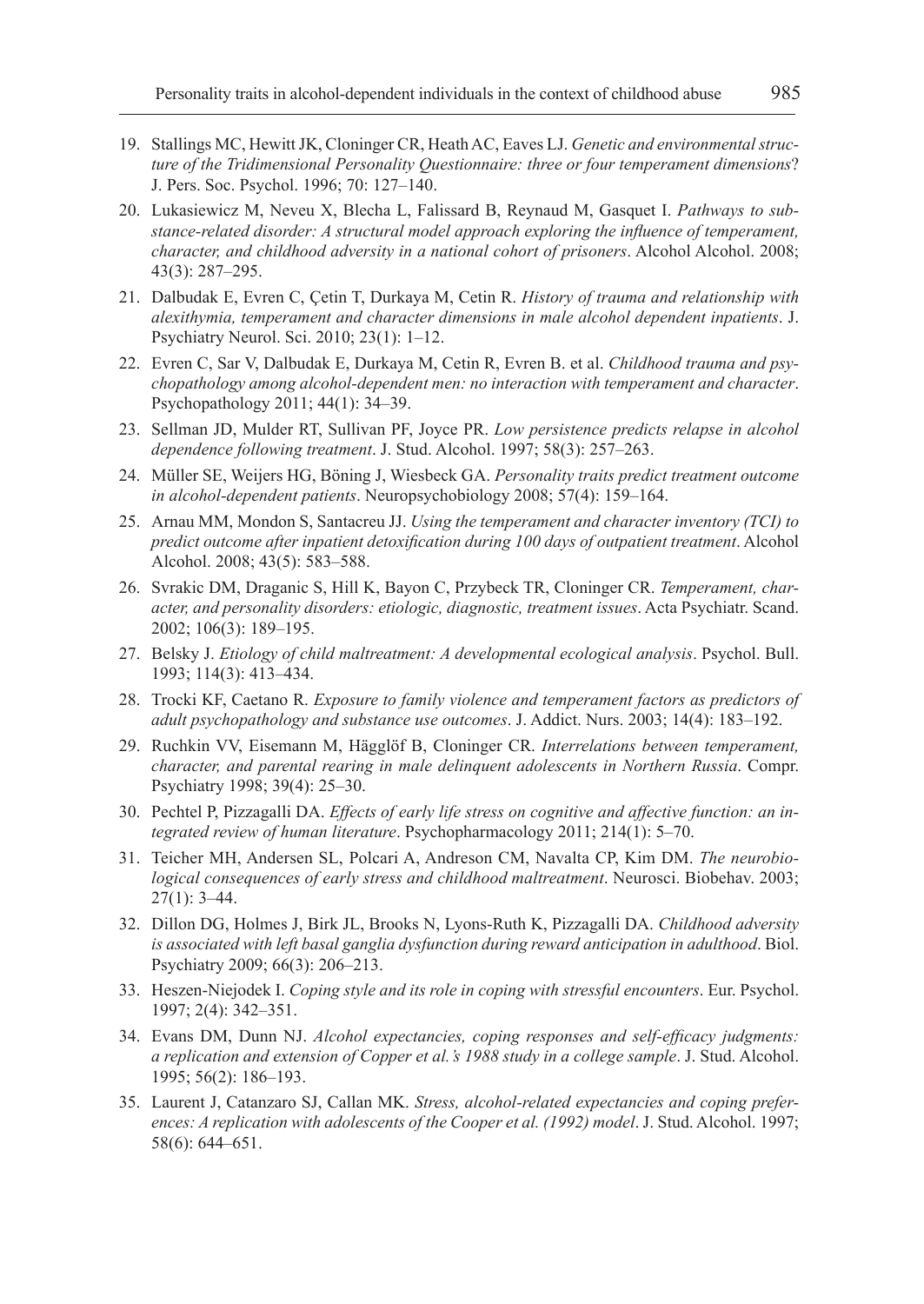- 19. Stallings MC, Hewitt JK, Cloninger CR, Heath AC, Eaves LJ. *Genetic and environmental structure of the Tridimensional Personality Questionnaire: three or four temperament dimensions*? J. Pers. Soc. Psychol. 1996; 70: 127–140.
- 20. Lukasiewicz M, Neveu X, Blecha L, Falissard B, Reynaud M, Gasquet I. *Pathways to substance-related disorder: A structural model approach exploring the influence of temperament, character, and childhood adversity in a national cohort of prisoners*. Alcohol Alcohol. 2008; 43(3): 287–295.
- 21. Dalbudak E, Evren C, Çetin T, Durkaya M, Cetin R. *History of trauma and relationship with alexithymia, temperament and character dimensions in male alcohol dependent inpatients*. J. Psychiatry Neurol. Sci. 2010; 23(1): 1–12.
- 22. Evren C, Sar V, Dalbudak E, Durkaya M, Cetin R, Evren B. et al. *Childhood trauma and psychopathology among alcohol-dependent men: no interaction with temperament and character*. Psychopathology 2011; 44(1): 34–39.
- 23. Sellman JD, Mulder RT, Sullivan PF, Joyce PR. *Low persistence predicts relapse in alcohol dependence following treatment*. J. Stud. Alcohol. 1997; 58(3): 257–263.
- 24. Müller SE, Weijers HG, Böning J, Wiesbeck GA. *Personality traits predict treatment outcome in alcohol-dependent patients*. Neuropsychobiology 2008; 57(4): 159–164.
- 25. Arnau MM, Mondon S, Santacreu JJ. *Using the temperament and character inventory (TCI) to predict outcome after inpatient detoxification during 100 days of outpatient treatment*. Alcohol Alcohol. 2008; 43(5): 583–588.
- 26. Svrakic DM, Draganic S, Hill K, Bayon C, Przybeck TR, Cloninger CR. *Temperament, character, and personality disorders: etiologic, diagnostic, treatment issues*. Acta Psychiatr. Scand. 2002; 106(3): 189–195.
- 27. Belsky J. *Etiology of child maltreatment: A developmental ecological analysis*. Psychol. Bull. 1993; 114(3): 413–434.
- 28. Trocki KF, Caetano R. *Exposure to family violence and temperament factors as predictors of adult psychopathology and substance use outcomes*. J. Addict. Nurs. 2003; 14(4): 183–192.
- 29. Ruchkin VV, Eisemann M, Hägglöf B, Cloninger CR. *Interrelations between temperament, character, and parental rearing in male delinquent adolescents in Northern Russia*. Compr. Psychiatry 1998; 39(4): 25–30.
- 30. Pechtel P, Pizzagalli DA. *Effects of early life stress on cognitive and affective function: an integrated review of human literature*. Psychopharmacology 2011; 214(1): 5–70.
- 31. Teicher MH, Andersen SL, Polcari A, Andreson CM, Navalta CP, Kim DM. *The neurobiological consequences of early stress and childhood maltreatment*. Neurosci. Biobehav. 2003;  $27(1): 3-44.$
- 32. Dillon DG, Holmes J, Birk JL, Brooks N, Lyons-Ruth K, Pizzagalli DA. *Childhood adversity is associated with left basal ganglia dysfunction during reward anticipation in adulthood*. Biol. Psychiatry 2009; 66(3): 206–213.
- 33. Heszen-Niejodek I. *Coping style and its role in coping with stressful encounters*. Eur. Psychol. 1997; 2(4): 342–351.
- 34. Evans DM, Dunn NJ. *Alcohol expectancies, coping responses and self-efficacy judgments: a replication and extension of Copper et al.'s 1988 study in a college sample*. J. Stud. Alcohol. 1995; 56(2): 186–193.
- 35. Laurent J, Catanzaro SJ, Callan MK. *Stress, alcohol-related expectancies and coping preferences: A replication with adolescents of the Cooper et al. (1992) model*. J. Stud. Alcohol. 1997; 58(6): 644–651.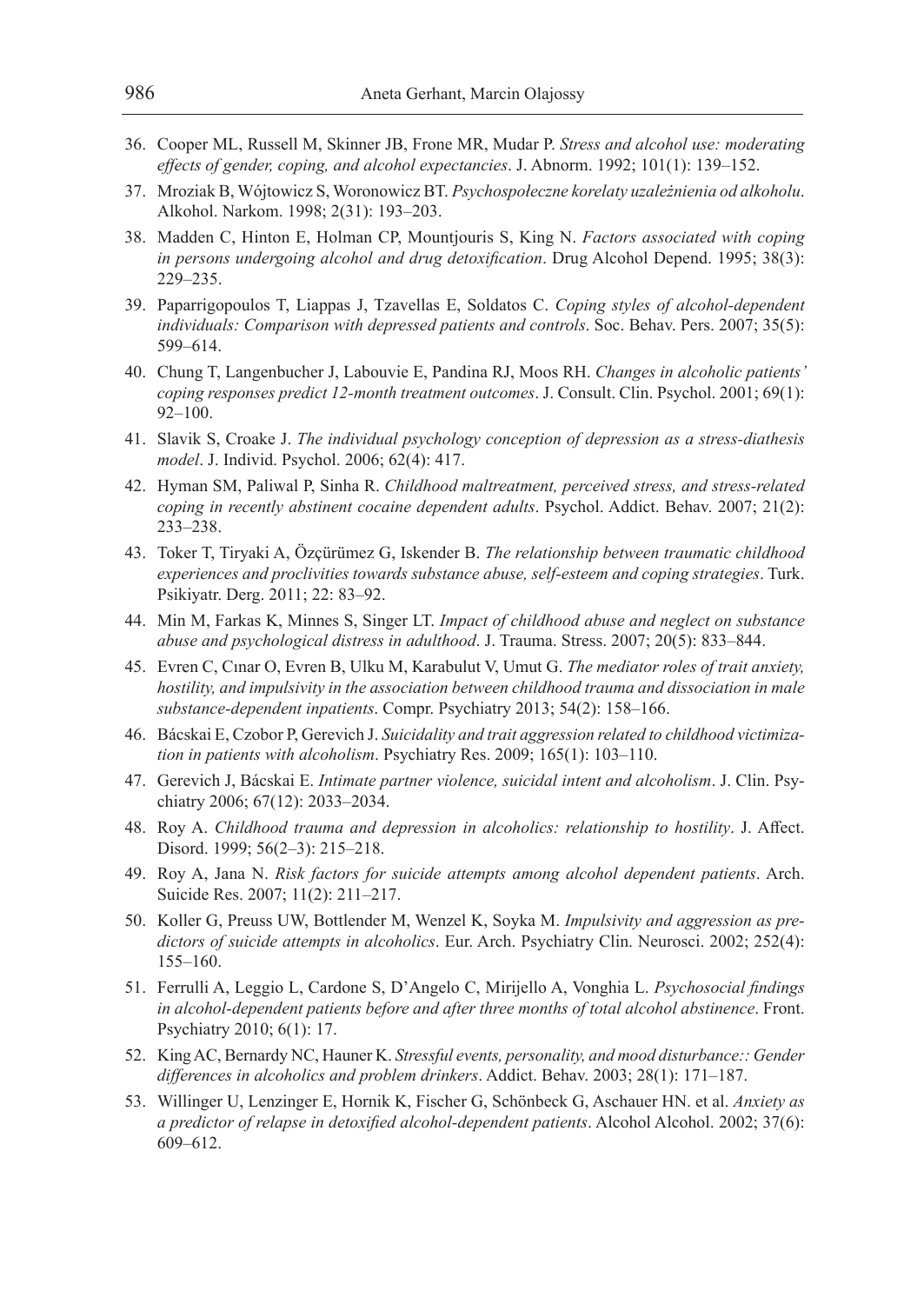- 36. Cooper ML, Russell M, Skinner JB, Frone MR, Mudar P. *Stress and alcohol use: moderating effects of gender, coping, and alcohol expectancies*. J. Abnorm. 1992; 101(1): 139–152.
- 37. Mroziak B, Wójtowicz S, Woronowicz BT. *Psychospołeczne korelaty uzależnienia od alkoholu*. Alkohol. Narkom. 1998; 2(31): 193–203.
- 38. Madden C, Hinton E, Holman CP, Mountjouris S, King N. *Factors associated with coping in persons undergoing alcohol and drug detoxification*. Drug Alcohol Depend. 1995; 38(3): 229–235.
- 39. Paparrigopoulos T, Liappas J, Tzavellas E, Soldatos C. *Coping styles of alcohol-dependent individuals: Comparison with depressed patients and controls*. Soc. Behav. Pers. 2007; 35(5): 599–614.
- 40. Chung T, Langenbucher J, Labouvie E, Pandina RJ, Moos RH. *Changes in alcoholic patients' coping responses predict 12-month treatment outcomes*. J. Consult. Clin. Psychol. 2001; 69(1): 92–100.
- 41. Slavik S, Croake J. *The individual psychology conception of depression as a stress-diathesis model*. J. Individ. Psychol. 2006; 62(4): 417.
- 42. Hyman SM, Paliwal P, Sinha R. *Childhood maltreatment, perceived stress, and stress-related coping in recently abstinent cocaine dependent adults*. Psychol. Addict. Behav. 2007; 21(2): 233–238.
- 43. Toker T, Tiryaki A, Özçürümez G, Iskender B. *The relationship between traumatic childhood experiences and proclivities towards substance abuse, self-esteem and coping strategies*. Turk. Psikiyatr. Derg. 2011; 22: 83–92.
- 44. Min M, Farkas K, Minnes S, Singer LT. *Impact of childhood abuse and neglect on substance abuse and psychological distress in adulthood*. J. Trauma. Stress. 2007; 20(5): 833–844.
- 45. Evren C, Cınar O, Evren B, Ulku M, Karabulut V, Umut G. *The mediator roles of trait anxiety, hostility, and impulsivity in the association between childhood trauma and dissociation in male substance-dependent inpatients*. Compr. Psychiatry 2013; 54(2): 158–166.
- 46. Bácskai E, Czobor P, Gerevich J. *Suicidality and trait aggression related to childhood victimization in patients with alcoholism*. Psychiatry Res. 2009; 165(1): 103–110.
- 47. Gerevich J, Bácskai E. *Intimate partner violence, suicidal intent and alcoholism*. J. Clin. Psychiatry 2006; 67(12): 2033–2034.
- 48. Roy A. *Childhood trauma and depression in alcoholics: relationship to hostility*. J. Affect. Disord. 1999; 56(2–3): 215–218.
- 49. Roy A, Jana N. *Risk factors for suicide attempts among alcohol dependent patients*. Arch. Suicide Res. 2007; 11(2): 211–217.
- 50. Koller G, Preuss UW, Bottlender M, Wenzel K, Soyka M. *Impulsivity and aggression as predictors of suicide attempts in alcoholics*. Eur. Arch. Psychiatry Clin. Neurosci. 2002; 252(4): 155–160.
- 51. Ferrulli A, Leggio L, Cardone S, D'Angelo C, Mirijello A, Vonghia L. *Psychosocial findings in alcohol-dependent patients before and after three months of total alcohol abstinence*. Front. Psychiatry 2010; 6(1): 17.
- 52. King AC, Bernardy NC, Hauner K. *Stressful events, personality, and mood disturbance:: Gender differences in alcoholics and problem drinkers*. Addict. Behav. 2003; 28(1): 171–187.
- 53. Willinger U, Lenzinger E, Hornik K, Fischer G, Schönbeck G, Aschauer HN. et al. *Anxiety as a predictor of relapse in detoxified alcohol-dependent patients*. Alcohol Alcohol. 2002; 37(6): 609–612.